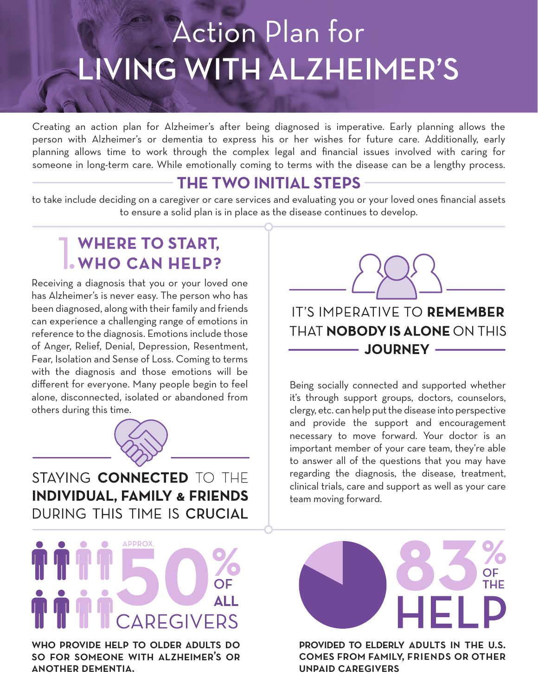# **Action Plan for** LIVING WITH ALZHEIMER'S

Creating an action plan for Alzheimer's after being diagnosed is imperative. Early planning allows the person with Alzheimer's or dementia to express his or her wishes for future care. Additionally, early planning allows time to work through the complex legal and financial issues involved with caring for someone in long-term care. While emotionally coming to terms with the disease can be a lengthy process.

## **THE TWO INITIAL STEPS**

to take include deciding on a caregiver or care services and evaluating you or your loved ones financial assets to ensure a solid plan is in place as the disease continues to develop.

# **WHERE TO START,<br>WHO CAN HELP?**

Receiving a diagnosis that you or your loved one has Alzheimer's is never easy. The person who has been diagnosed, along with their family and friends can experience a challenging range of emotions in reference to the diagnosis. Emotions include those of Anger, Relief, Denial, Depression, Resentment, Fear, Isolation and Sense of Loss. Coming to terms with the diagnosis and those emotions will be different for everyone. Many people begin to feel alone, disconnected, isolated or abandoned from others during this time.



STAYING CONNECTED TO THE **INDIVIDUAL, FAMILY & FRIENDS** DURING THIS TIME IS CRUCIAL

## **APPROX** AI I **EGIVERS**

who provide help to older adults do so for someone with alzheimer's or another dementia.

IT'S IMPERATIVE TO REMEMBER **THAT NOBODY IS ALONE ON THIS** - JOURNEY --

Being socially connected and supported whether it's through support groups, doctors, counselors, clergy, etc. can help put the disease into perspective and provide the support and encouragement necessary to move forward. Your doctor is an important member of your care team, they're able to answer all of the questions that you may have regarding the diagnosis, the disease, treatment, clinical trials, care and support as well as your care team moving forward.



provided to elderly adults in the u.s. comes from family, friends or other unpaid caregivers